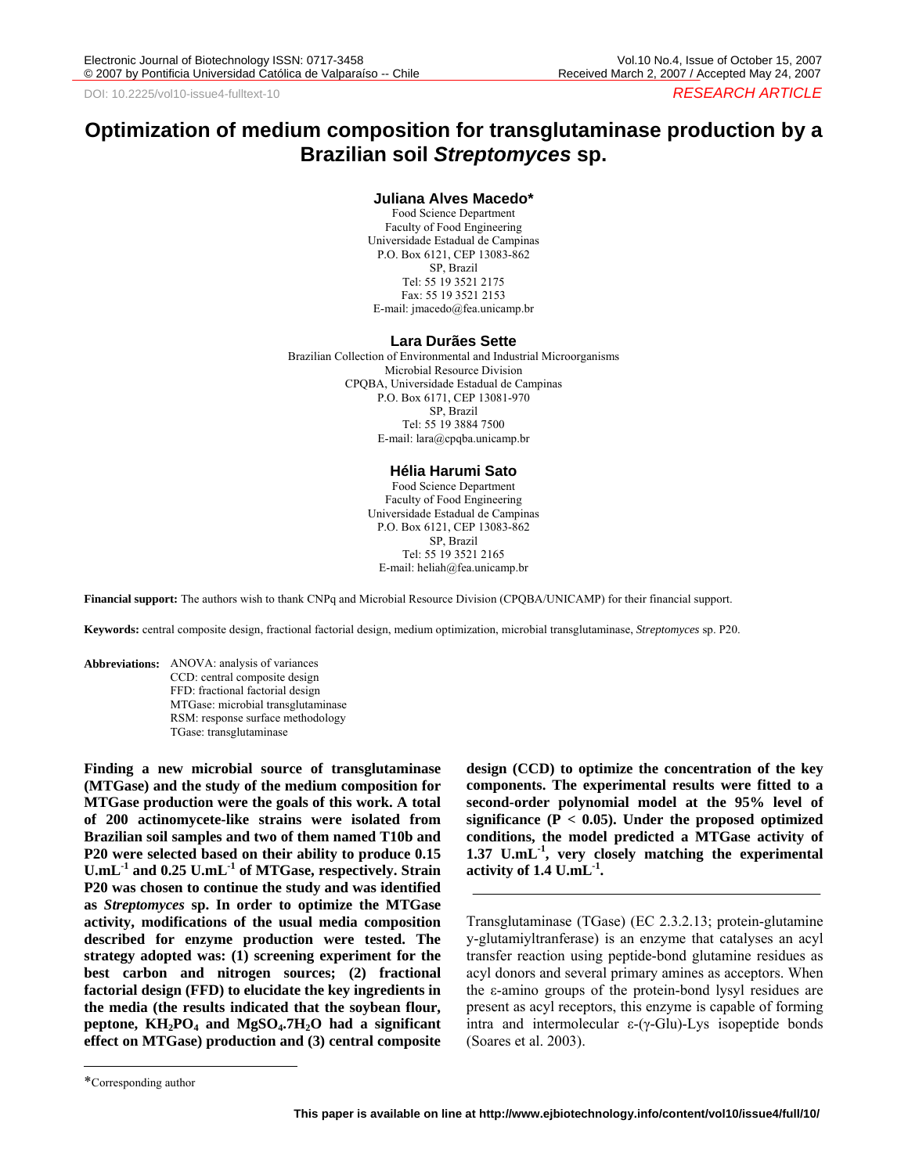# **Optimization of medium composition for transglutaminase production by a Brazilian soil** *Streptomyces* **sp.**

#### **Juliana Alves Macedo\***

Food Science Department Faculty of Food Engineering Universidade Estadual de Campinas P.O. Box 6121, CEP 13083-862 SP, Brazil Tel: 55 19 3521 2175 Fax: 55 19 3521 2153 E-mail: jmacedo@fea.unicamp.br

#### **Lara Durães Sette**

Brazilian Collection of Environmental and Industrial Microorganisms Microbial Resource Division CPQBA, Universidade Estadual de Campinas P.O. Box 6171, CEP 13081-970 SP, Brazil Tel: 55 19 3884 7500 E-mail: lara@cpqba.unicamp.br

## **Hélia Harumi Sato**

Food Science Department Faculty of Food Engineering Universidade Estadual de Campinas P.O. Box 6121, CEP 13083-862 SP, Brazil Tel: 55 19 3521 2165 E-mail: heliah@fea.unicamp.br

**Financial support:** The authors wish to thank CNPq and Microbial Resource Division (CPQBA/UNICAMP) for their financial support.

**Keywords:** central composite design, fractional factorial design, medium optimization, microbial transglutaminase, *Streptomyces* sp. P20.

**Abbreviations:** ANOVA: analysis of variances CCD: central composite design FFD: fractional factorial design MTGase: microbial transglutaminase RSM: response surface methodology TGase: transglutaminase

**Finding a new microbial source of transglutaminase (MTGase) and the study of the medium composition for MTGase production were the goals of this work. A total of 200 actinomycete-like strains were isolated from Brazilian soil samples and two of them named T10b and P20 were selected based on their ability to produce 0.15 U.mL-1 and 0.25 U.mL-1 of MTGase, respectively. Strain P20 was chosen to continue the study and was identified as** *Streptomyces* **sp. In order to optimize the MTGase activity, modifications of the usual media composition described for enzyme production were tested. The strategy adopted was: (1) screening experiment for the best carbon and nitrogen sources; (2) fractional factorial design (FFD) to elucidate the key ingredients in the media (the results indicated that the soybean flour,**  peptone,  $KH_2PO_4$  and  $MgSO_4.7H_2O$  had a significant **effect on MTGase) production and (3) central composite** 

**design (CCD) to optimize the concentration of the key components. The experimental results were fitted to a second-order polynomial model at the 95% level of significance (P < 0.05). Under the proposed optimized conditions, the model predicted a MTGase activity of 1.37 U.mL-1, very closely matching the experimental activity of 1.4 U.mL-1.** 

Transglutaminase (TGase) (EC 2.3.2.13; protein-glutamine y-glutamiyltranferase) is an enzyme that catalyses an acyl transfer reaction using peptide-bond glutamine residues as acyl donors and several primary amines as acceptors. When the ε-amino groups of the protein-bond lysyl residues are present as acyl receptors, this enzyme is capable of forming intra and intermolecular ε-(γ-Glu)-Lys isopeptide bonds (Soares et al. 2003).

 $\overline{\phantom{a}}$ 

<sup>\*</sup>Corresponding author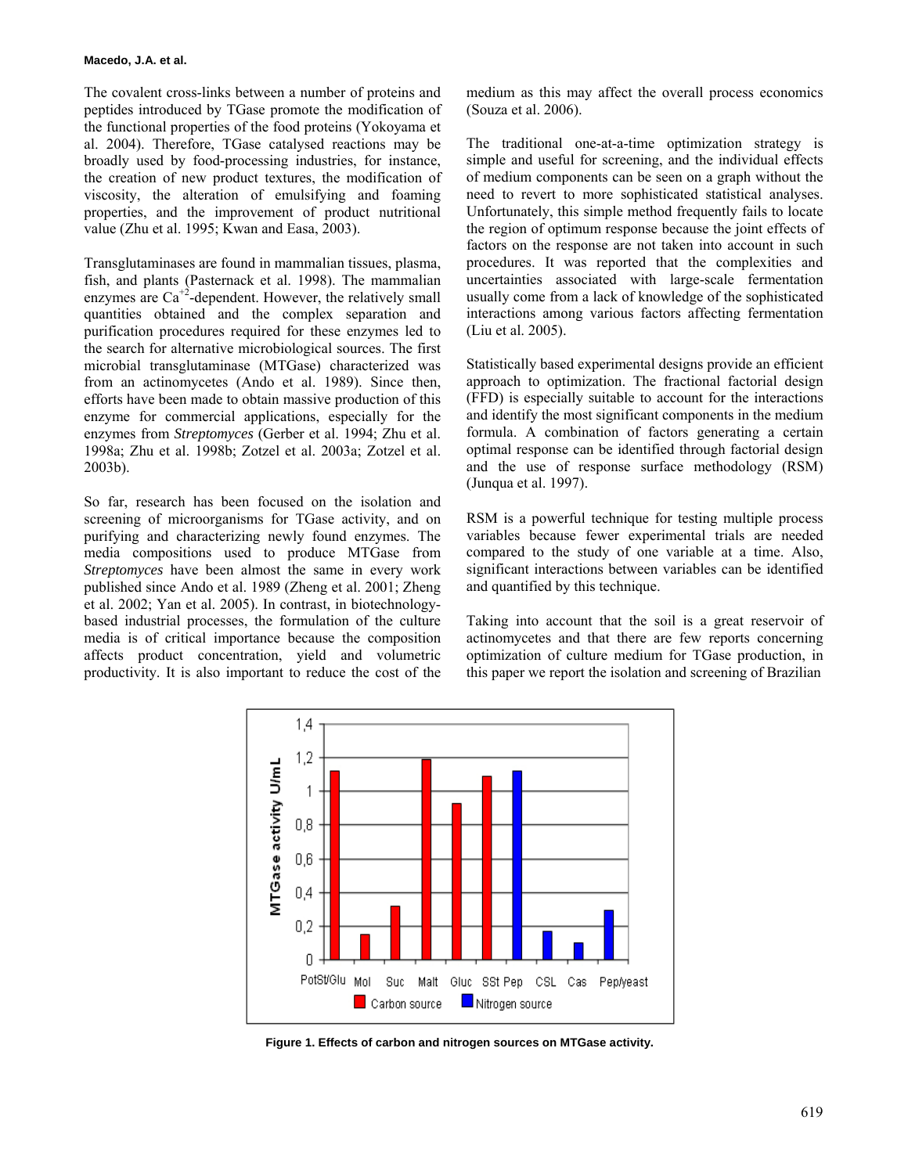The covalent cross-links between a number of proteins and peptides introduced by TGase promote the modification of the functional properties of the food proteins (Yokoyama et al. 2004). Therefore, TGase catalysed reactions may be broadly used by food-processing industries, for instance, the creation of new product textures, the modification of viscosity, the alteration of emulsifying and foaming properties, and the improvement of product nutritional value (Zhu et al. 1995; Kwan and Easa, 2003).

Transglutaminases are found in mammalian tissues, plasma, fish, and plants (Pasternack et al. 1998). The mammalian enzymes are  $Ca^{+2}$ -dependent. However, the relatively small quantities obtained and the complex separation and purification procedures required for these enzymes led to the search for alternative microbiological sources. The first microbial transglutaminase (MTGase) characterized was from an actinomycetes (Ando et al. 1989). Since then, efforts have been made to obtain massive production of this enzyme for commercial applications, especially for the enzymes from *Streptomyces* (Gerber et al. 1994; Zhu et al. 1998a; Zhu et al. 1998b; Zotzel et al. 2003a; Zotzel et al. 2003b).

So far, research has been focused on the isolation and screening of microorganisms for TGase activity, and on purifying and characterizing newly found enzymes. The media compositions used to produce MTGase from *Streptomyces* have been almost the same in every work published since Ando et al. 1989 (Zheng et al. 2001; Zheng et al. 2002; Yan et al. 2005). In contrast, in biotechnologybased industrial processes, the formulation of the culture media is of critical importance because the composition affects product concentration, yield and volumetric productivity. It is also important to reduce the cost of the

medium as this may affect the overall process economics (Souza et al. 2006).

The traditional one-at-a-time optimization strategy is simple and useful for screening, and the individual effects of medium components can be seen on a graph without the need to revert to more sophisticated statistical analyses. Unfortunately, this simple method frequently fails to locate the region of optimum response because the joint effects of factors on the response are not taken into account in such procedures. It was reported that the complexities and uncertainties associated with large-scale fermentation usually come from a lack of knowledge of the sophisticated interactions among various factors affecting fermentation (Liu et al. 2005).

Statistically based experimental designs provide an efficient approach to optimization. The fractional factorial design (FFD) is especially suitable to account for the interactions and identify the most significant components in the medium formula. A combination of factors generating a certain optimal response can be identified through factorial design and the use of response surface methodology (RSM) (Junqua et al. 1997).

RSM is a powerful technique for testing multiple process variables because fewer experimental trials are needed compared to the study of one variable at a time. Also, significant interactions between variables can be identified and quantified by this technique.

Taking into account that the soil is a great reservoir of actinomycetes and that there are few reports concerning optimization of culture medium for TGase production, in this paper we report the isolation and screening of Brazilian



**Figure 1. Effects of carbon and nitrogen sources on MTGase activity.**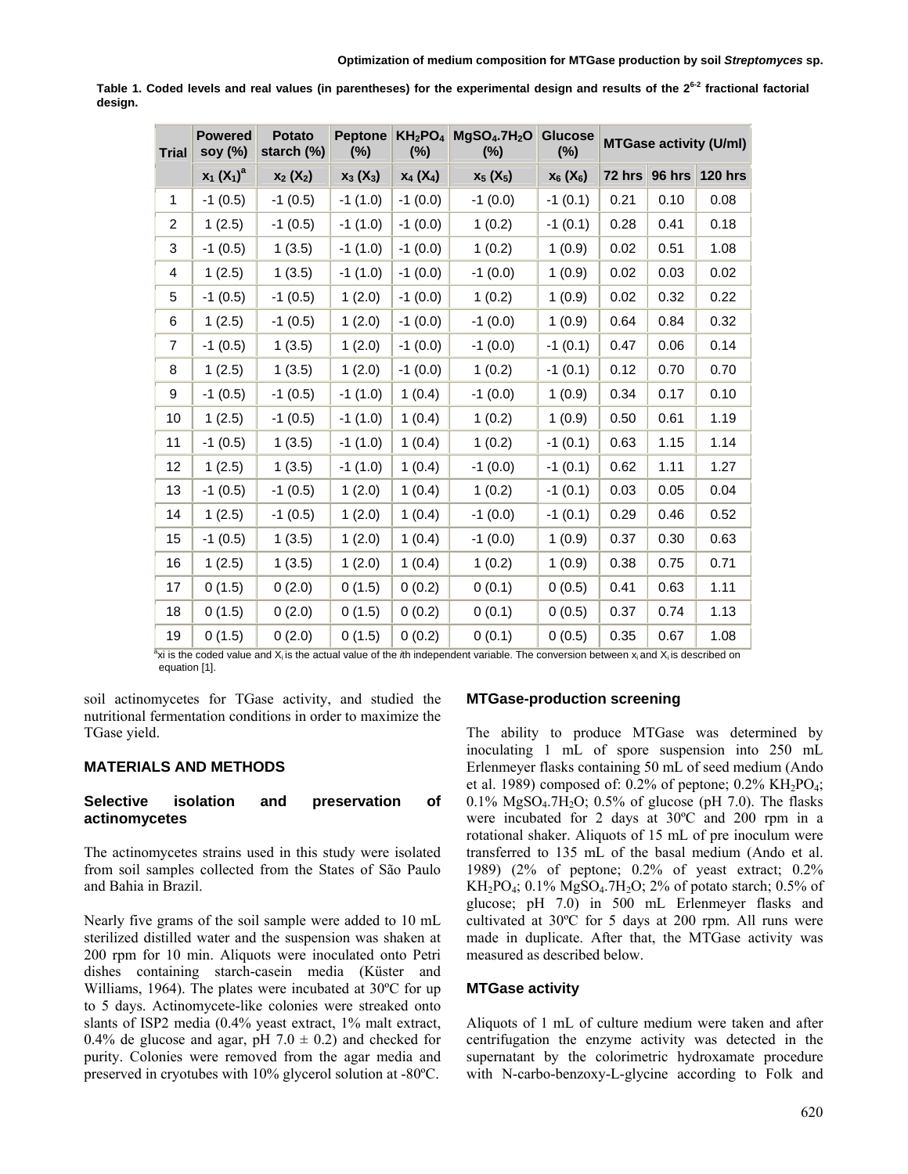| <b>Trial</b>   | <b>Powered</b><br>soy (%) | <b>Potato</b><br>starch (%) | <b>Peptone</b><br>$(\%)$ | KH <sub>2</sub> PO <sub>4</sub><br>$(\%)$ | MgSO <sub>4</sub> .7H <sub>2</sub> O<br>$(\%)$ | <b>Glucose</b><br>$(\%)$ | <b>MTGase activity (U/ml)</b> |        |                |
|----------------|---------------------------|-----------------------------|--------------------------|-------------------------------------------|------------------------------------------------|--------------------------|-------------------------------|--------|----------------|
|                | $x_1 (X_1)^a$             | $x_2(X_2)$                  | $X_3(X_3)$               | $X_4(X_4)$                                | $x_5(X_5)$                                     | $X_6$ ( $X_6$ )          | $72$ hrs                      | 96 hrs | <b>120 hrs</b> |
| 1              | $-1(0.5)$                 | $-1(0.5)$                   | $-1(1.0)$                | $-1(0.0)$                                 | $-1(0.0)$                                      | $-1(0.1)$                | 0.21                          | 0.10   | 0.08           |
| 2              | 1(2.5)                    | $-1(0.5)$                   | $-1(1.0)$                | $-1(0.0)$                                 | 1(0.2)                                         | $-1(0.1)$                | 0.28                          | 0.41   | 0.18           |
| 3              | $-1(0.5)$                 | 1(3.5)                      | $-1(1.0)$                | $-1(0.0)$                                 | 1(0.2)                                         | 1(0.9)                   | 0.02                          | 0.51   | 1.08           |
| 4              | 1(2.5)                    | 1(3.5)                      | $-1(1.0)$                | $-1(0.0)$                                 | $-1(0.0)$                                      | 1(0.9)                   | 0.02                          | 0.03   | 0.02           |
| 5              | $-1(0.5)$                 | $-1(0.5)$                   | 1(2.0)                   | $-1(0.0)$                                 | 1(0.2)                                         | 1(0.9)                   | 0.02                          | 0.32   | 0.22           |
| 6              | 1(2.5)                    | $-1(0.5)$                   | 1(2.0)                   | $-1(0.0)$                                 | $-1(0.0)$                                      | 1(0.9)                   | 0.64                          | 0.84   | 0.32           |
| $\overline{7}$ | $-1(0.5)$                 | 1(3.5)                      | 1(2.0)                   | $-1(0.0)$                                 | $-1(0.0)$                                      | $-1(0.1)$                | 0.47                          | 0.06   | 0.14           |
| 8              | 1(2.5)                    | 1(3.5)                      | 1(2.0)                   | $-1(0.0)$                                 | 1(0.2)                                         | $-1(0.1)$                | 0.12                          | 0.70   | 0.70           |
| 9              | $-1(0.5)$                 | $-1(0.5)$                   | $-1(1.0)$                | 1(0.4)                                    | $-1(0.0)$                                      | 1(0.9)                   | 0.34                          | 0.17   | 0.10           |
| 10             | 1(2.5)                    | $-1(0.5)$                   | $-1(1.0)$                | 1(0.4)                                    | 1(0.2)                                         | 1(0.9)                   | 0.50                          | 0.61   | 1.19           |
| 11             | $-1(0.5)$                 | 1(3.5)                      | $-1(1.0)$                | 1(0.4)                                    | 1(0.2)                                         | $-1(0.1)$                | 0.63                          | 1.15   | 1.14           |
| 12             | 1(2.5)                    | 1(3.5)                      | $-1(1.0)$                | 1(0.4)                                    | $-1(0.0)$                                      | $-1(0.1)$                | 0.62                          | 1.11   | 1.27           |
| 13             | $-1(0.5)$                 | $-1(0.5)$                   | 1(2.0)                   | 1(0.4)                                    | 1(0.2)                                         | $-1(0.1)$                | 0.03                          | 0.05   | 0.04           |
| 14             | 1(2.5)                    | $-1(0.5)$                   | 1(2.0)                   | 1(0.4)                                    | $-1(0.0)$                                      | $-1(0.1)$                | 0.29                          | 0.46   | 0.52           |
| 15             | $-1(0.5)$                 | 1(3.5)                      | 1(2.0)                   | 1(0.4)                                    | $-1(0.0)$                                      | 1(0.9)                   | 0.37                          | 0.30   | 0.63           |
| 16             | 1(2.5)                    | 1(3.5)                      | 1(2.0)                   | 1(0.4)                                    | 1(0.2)                                         | 1(0.9)                   | 0.38                          | 0.75   | 0.71           |
| 17             | 0(1.5)                    | 0(2.0)                      | 0(1.5)                   | 0(0.2)                                    | 0(0.1)                                         | 0(0.5)                   | 0.41                          | 0.63   | 1.11           |
| 18             | 0(1.5)                    | 0(2.0)                      | 0(1.5)                   | 0(0.2)                                    | 0(0.1)                                         | 0(0.5)                   | 0.37                          | 0.74   | 1.13           |
| 19             | 0(1.5)                    | 0(2.0)                      | 0(1.5)                   | 0(0.2)                                    | 0(0.1)                                         | 0(0.5)                   | 0.35                          | 0.67   | 1.08           |

**Table 1. Coded levels and real values (in parentheses) for the experimental design and results of the 26-2 fractional factorial design.** 

<sup>a</sup>xi is the coded value and X<sub>i</sub> is the actual value of the *i*th independent variable. The conversion between x<sub>i</sub> and X<sub>i</sub> is described on equation [1].

soil actinomycetes for TGase activity, and studied the nutritional fermentation conditions in order to maximize the TGase yield.

## **MATERIALS AND METHODS**

## **Selective isolation and preservation of actinomycetes**

The actinomycetes strains used in this study were isolated from soil samples collected from the States of São Paulo and Bahia in Brazil.

Nearly five grams of the soil sample were added to 10 mL sterilized distilled water and the suspension was shaken at 200 rpm for 10 min. Aliquots were inoculated onto Petri dishes containing starch-casein media (Küster and Williams, 1964). The plates were incubated at 30ºC for up to 5 days. Actinomycete-like colonies were streaked onto slants of ISP2 media (0.4% yeast extract, 1% malt extract, 0.4% de glucose and agar, pH  $7.0 \pm 0.2$ ) and checked for purity. Colonies were removed from the agar media and preserved in cryotubes with 10% glycerol solution at -80ºC.

#### **MTGase-production screening**

The ability to produce MTGase was determined by inoculating 1 mL of spore suspension into 250 mL Erlenmeyer flasks containing 50 mL of seed medium (Ando et al. 1989) composed of:  $0.2\%$  of peptone;  $0.2\%$  KH<sub>2</sub>PO<sub>4</sub>; 0.1% MgSO<sub>4</sub>.7H<sub>2</sub>O; 0.5% of glucose (pH 7.0). The flasks were incubated for 2 days at 30ºC and 200 rpm in a rotational shaker. Aliquots of 15 mL of pre inoculum were transferred to 135 mL of the basal medium (Ando et al. 1989) (2% of peptone; 0.2% of yeast extract; 0.2% KH<sub>2</sub>PO<sub>4</sub>; 0.1% MgSO<sub>4</sub>.7H<sub>2</sub>O; 2% of potato starch; 0.5% of glucose; pH 7.0) in 500 mL Erlenmeyer flasks and cultivated at 30ºC for 5 days at 200 rpm. All runs were made in duplicate. After that, the MTGase activity was measured as described below.

#### **MTGase activity**

Aliquots of 1 mL of culture medium were taken and after centrifugation the enzyme activity was detected in the supernatant by the colorimetric hydroxamate procedure with N-carbo-benzoxy-L-glycine according to Folk and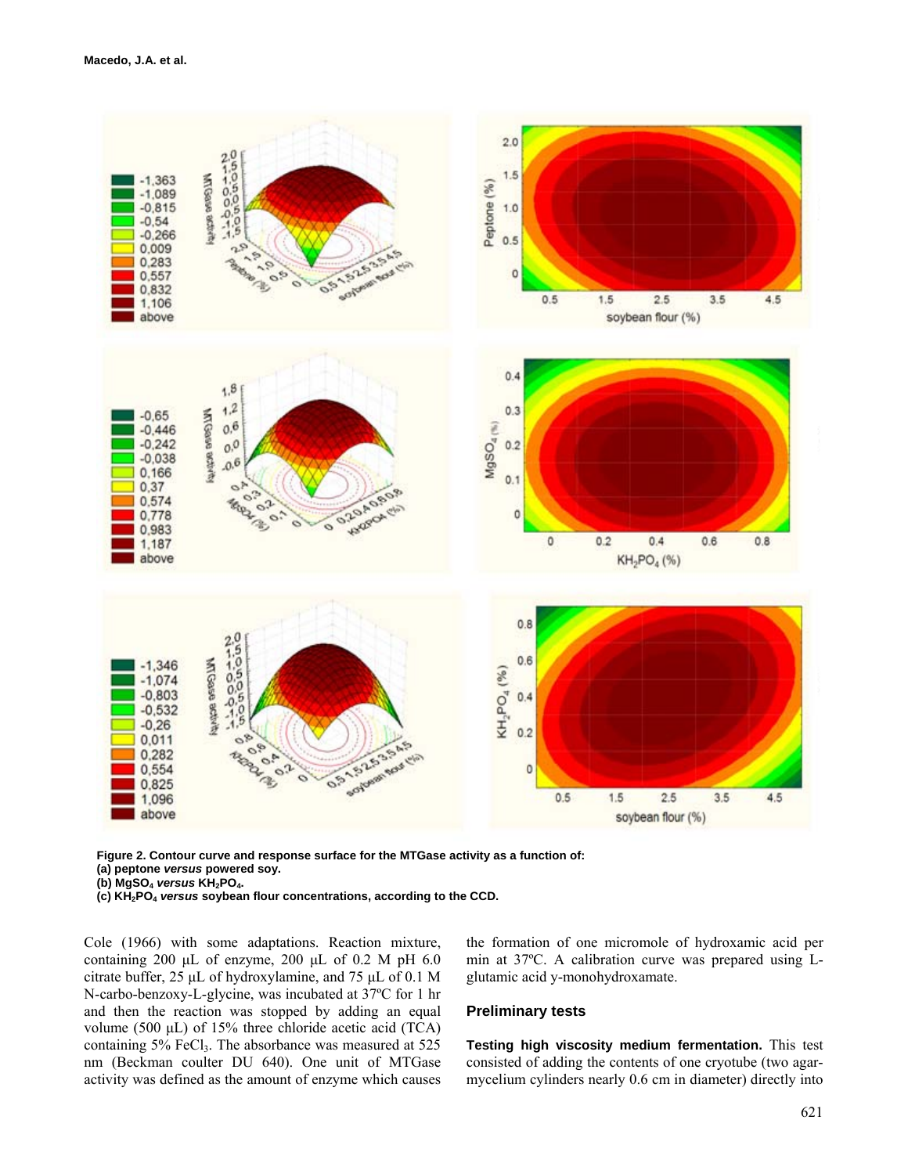

**Figure 2. Contour curve and response surface for the MTGase activity as a function of: (a) peptone** *versus* **powered soy.** 

**(b) MgSO4** *versus* **KH2PO4.** 

**(c) KH2PO4** *versus* **soybean flour concentrations, according to the CCD.**

Cole (1966) with some adaptations. Reaction mixture, containing 200 μL of enzyme, 200 μL of 0.2 M pH 6.0 citrate buffer, 25 μL of hydroxylamine, and 75 μL of 0.1 M N-carbo-benzoxy-L-glycine, was incubated at 37ºC for 1 hr and then the reaction was stopped by adding an equal volume (500 μL) of 15% three chloride acetic acid (TCA) containing  $5\%$  FeCl<sub>3</sub>. The absorbance was measured at  $525$ nm (Beckman coulter DU 640). One unit of MTGase activity was defined as the amount of enzyme which causes

the formation of one micromole of hydroxamic acid per min at 37ºC. A calibration curve was prepared using Lglutamic acid y-monohydroxamate.

## **Preliminary tests**

**Testing high viscosity medium fermentation.** This test consisted of adding the contents of one cryotube (two agarmycelium cylinders nearly 0.6 cm in diameter) directly into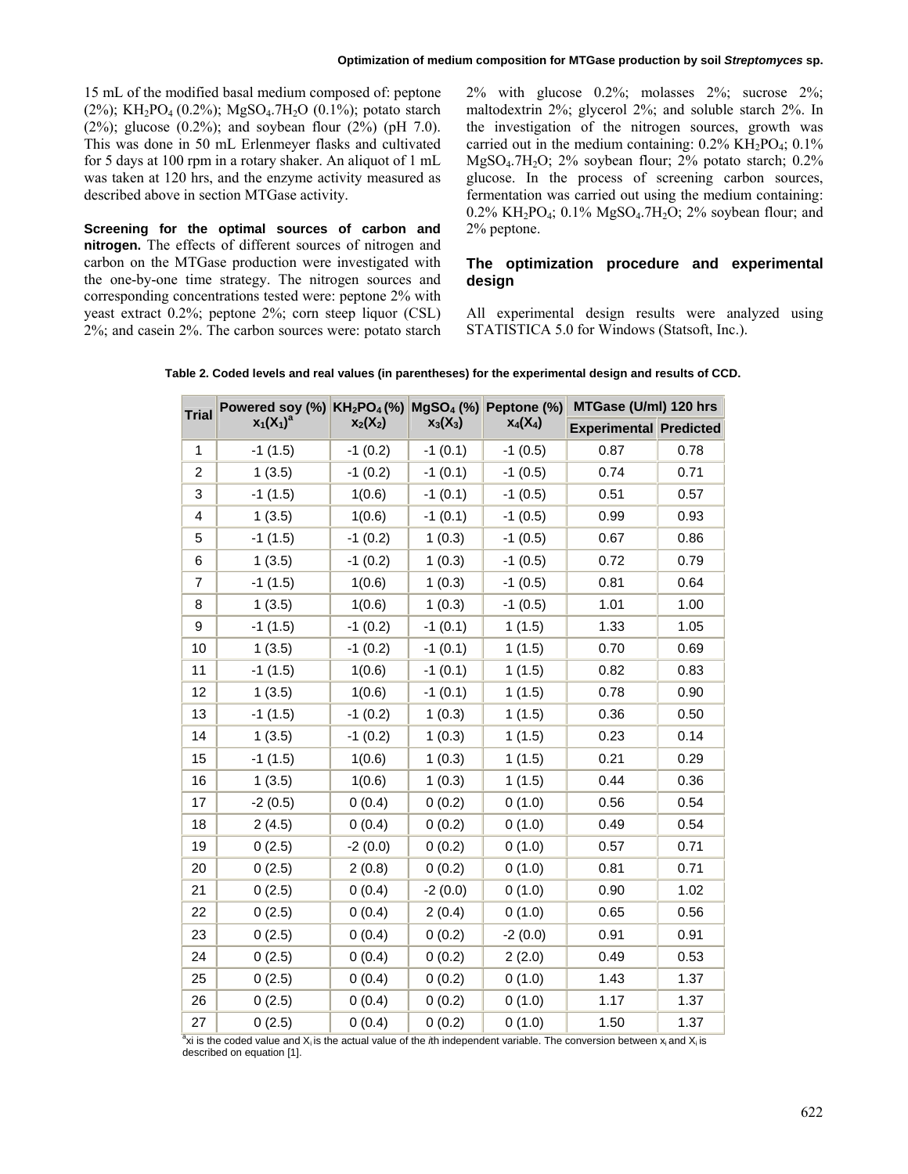15 mL of the modified basal medium composed of: peptone  $(2\%)$ ; KH<sub>2</sub>PO<sub>4</sub> (0.2%); MgSO<sub>4</sub>.7H<sub>2</sub>O (0.1%); potato starch (2%); glucose (0.2%); and soybean flour (2%) (pH 7.0). This was done in 50 mL Erlenmeyer flasks and cultivated for 5 days at 100 rpm in a rotary shaker. An aliquot of 1 mL was taken at 120 hrs, and the enzyme activity measured as described above in section MTGase activity.

**Screening for the optimal sources of carbon and nitrogen.** The effects of different sources of nitrogen and carbon on the MTGase production were investigated with the one-by-one time strategy. The nitrogen sources and corresponding concentrations tested were: peptone 2% with yeast extract 0.2%; peptone 2%; corn steep liquor (CSL) 2%; and casein 2%. The carbon sources were: potato starch 2% with glucose 0.2%; molasses 2%; sucrose 2%; maltodextrin 2%; glycerol 2%; and soluble starch 2%. In the investigation of the nitrogen sources, growth was carried out in the medium containing:  $0.2\% \text{ KH}_2\text{PO}_4$ ;  $0.1\%$ MgSO<sub>4</sub>.7H<sub>2</sub>O; 2% soybean flour; 2% potato starch;  $0.2\%$ glucose. In the process of screening carbon sources, fermentation was carried out using the medium containing: 0.2% KH<sub>2</sub>PO<sub>4</sub>; 0.1% MgSO<sub>4</sub>.7H<sub>2</sub>O; 2% soybean flour; and 2% peptone.

# **The optimization procedure and experimental design**

All experimental design results were analyzed using STATISTICA 5.0 for Windows (Statsoft, Inc.).

| Table 2. Coded levels and real values (in parentheses) for the experimental design and results of CCD. |  |  |
|--------------------------------------------------------------------------------------------------------|--|--|
|--------------------------------------------------------------------------------------------------------|--|--|

| <b>Trial</b>   | Powered soy (%) KH <sub>2</sub> PO <sub>4</sub> (%) MgSO <sub>4</sub> (%) Peptone (%) |            |            |            | MTGase (U/ml) 120 hrs         |      |  |
|----------------|---------------------------------------------------------------------------------------|------------|------------|------------|-------------------------------|------|--|
|                | $x_1(X_1)^a$                                                                          | $x_2(X_2)$ | $x_3(X_3)$ | $X_4(X_4)$ | <b>Experimental Predicted</b> |      |  |
| $\mathbf{1}$   | $-1(1.5)$                                                                             | $-1(0.2)$  | $-1(0.1)$  | $-1(0.5)$  | 0.87                          | 0.78 |  |
| $\overline{c}$ | 1(3.5)                                                                                | $-1(0.2)$  | $-1(0.1)$  | $-1(0.5)$  | 0.74                          | 0.71 |  |
| 3              | $-1(1.5)$                                                                             | 1(0.6)     | $-1(0.1)$  | $-1(0.5)$  | 0.51                          | 0.57 |  |
| 4              | 1(3.5)                                                                                | 1(0.6)     | $-1(0.1)$  | $-1(0.5)$  | 0.99                          | 0.93 |  |
| 5              | $-1(1.5)$                                                                             | $-1(0.2)$  | 1(0.3)     | $-1(0.5)$  | 0.67                          | 0.86 |  |
| 6              | 1(3.5)                                                                                | $-1(0.2)$  | 1(0.3)     | $-1(0.5)$  | 0.72                          | 0.79 |  |
| $\overline{7}$ | $-1(1.5)$                                                                             | 1(0.6)     | 1(0.3)     | $-1(0.5)$  | 0.81                          | 0.64 |  |
| 8              | 1(3.5)                                                                                | 1(0.6)     | 1(0.3)     | $-1(0.5)$  | 1.01                          | 1.00 |  |
| 9              | $-1(1.5)$                                                                             | $-1(0.2)$  | $-1(0.1)$  | 1(1.5)     | 1.33                          | 1.05 |  |
| 10             | 1(3.5)                                                                                | $-1(0.2)$  | $-1(0.1)$  | 1(1.5)     | 0.70                          | 0.69 |  |
| 11             | $-1(1.5)$                                                                             | 1(0.6)     | $-1(0.1)$  | 1(1.5)     | 0.82                          | 0.83 |  |
| 12             | 1(3.5)                                                                                | 1(0.6)     | $-1(0.1)$  | 1(1.5)     | 0.78                          | 0.90 |  |
| 13             | $-1(1.5)$                                                                             | $-1(0.2)$  | 1(0.3)     | 1(1.5)     | 0.36                          | 0.50 |  |
| 14             | 1(3.5)                                                                                | $-1(0.2)$  | 1(0.3)     | 1(1.5)     | 0.23                          | 0.14 |  |
| 15             | $-1(1.5)$                                                                             | 1(0.6)     | 1(0.3)     | 1(1.5)     | 0.21                          | 0.29 |  |
| 16             | 1(3.5)                                                                                | 1(0.6)     | 1(0.3)     | 1(1.5)     | 0.44                          | 0.36 |  |
| 17             | $-2(0.5)$                                                                             | 0(0.4)     | 0(0.2)     | 0(1.0)     | 0.56                          | 0.54 |  |
| 18             | 2(4.5)                                                                                | 0(0.4)     | 0(0.2)     | 0(1.0)     | 0.49                          | 0.54 |  |
| 19             | 0(2.5)                                                                                | $-2(0.0)$  | 0(0.2)     | 0(1.0)     | 0.57                          | 0.71 |  |
| 20             | 0(2.5)                                                                                | 2(0.8)     | 0(0.2)     | 0(1.0)     | 0.81                          | 0.71 |  |
| 21             | 0(2.5)                                                                                | 0(0.4)     | $-2(0.0)$  | 0(1.0)     | 0.90                          | 1.02 |  |
| 22             | 0(2.5)                                                                                | 0(0.4)     | 2(0.4)     | 0(1.0)     | 0.65                          | 0.56 |  |
| 23             | 0(2.5)                                                                                | 0(0.4)     | 0(0.2)     | $-2(0.0)$  | 0.91                          | 0.91 |  |
| 24             | 0(2.5)                                                                                | 0(0.4)     | 0(0.2)     | 2(2.0)     | 0.49                          | 0.53 |  |
| 25             | 0(2.5)                                                                                | 0(0.4)     | 0(0.2)     | 0(1.0)     | 1.43                          | 1.37 |  |
| 26             | 0(2.5)                                                                                | 0(0.4)     | 0(0.2)     | 0(1.0)     | 1.17                          | 1.37 |  |
| 27             | 0(2.5)                                                                                | 0(0.4)     | 0(0.2)     | 0(1.0)     | 1.50                          | 1.37 |  |

<sup>a</sup>xi is the coded value and X<sub>i</sub> is the actual value of the *i*th independent variable. The conversion between x<sub>i</sub> and X<sub>i</sub> is described on equation [1].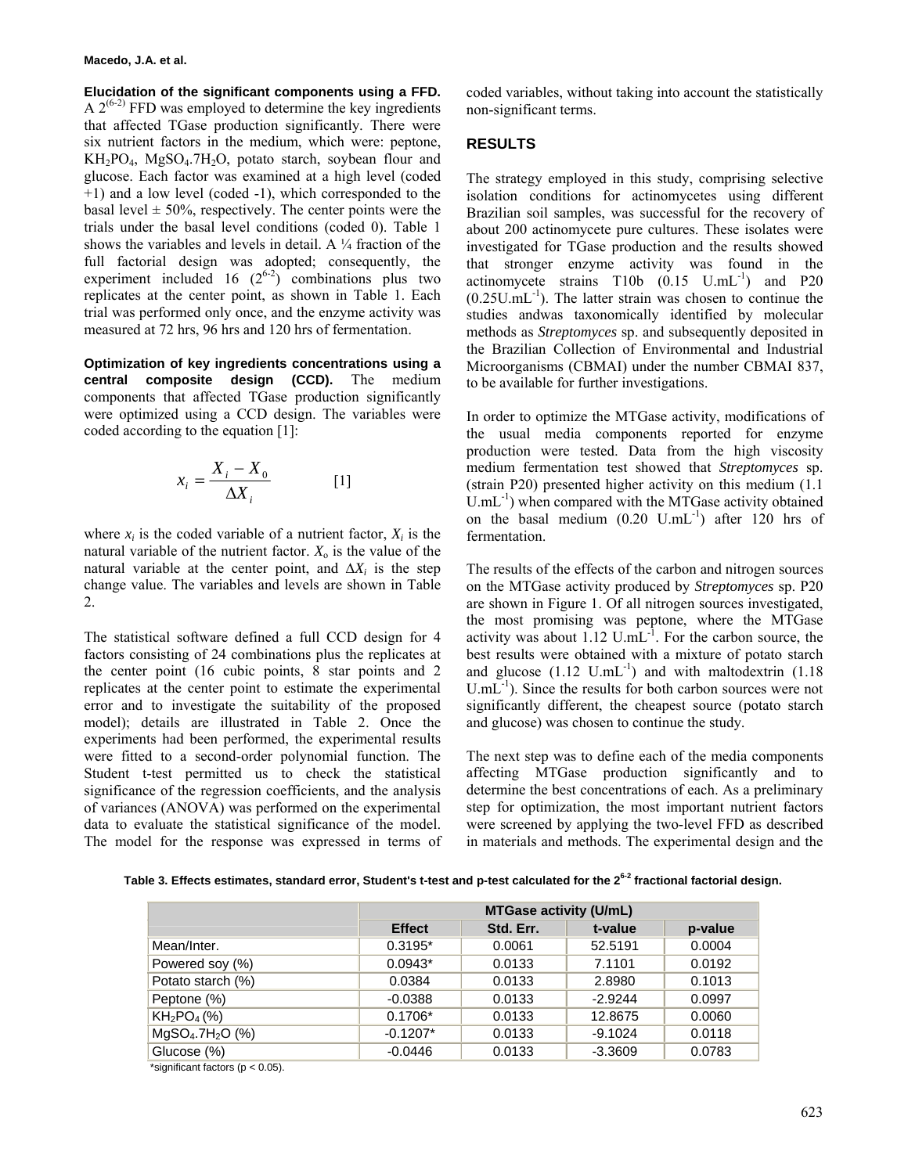#### **Macedo, J.A. et al.**

**Elucidation of the significant components using a FFD.** A  $2^{(6-2)}$  FFD was employed to determine the key ingredients that affected TGase production significantly. There were six nutrient factors in the medium, which were: peptone,  $KH_2PO_4$ ,  $MgSO_4$ .7H<sub>2</sub>O, potato starch, soybean flour and glucose. Each factor was examined at a high level (coded +1) and a low level (coded -1), which corresponded to the basal level  $\pm 50\%$ , respectively. The center points were the trials under the basal level conditions (coded 0). Table 1 shows the variables and levels in detail. A  $\frac{1}{4}$  fraction of the full factorial design was adopted; consequently, the experiment included 16  $(2^{6-2})$  combinations plus two replicates at the center point, as shown in Table 1. Each trial was performed only once, and the enzyme activity was measured at 72 hrs, 96 hrs and 120 hrs of fermentation.

**Optimization of key ingredients concentrations using a central composite design (CCD).** The medium components that affected TGase production significantly were optimized using a CCD design. The variables were coded according to the equation [1]:

$$
x_i = \frac{X_i - X_0}{\Delta X_i} \tag{1}
$$

where  $x_i$  is the coded variable of a nutrient factor,  $X_i$  is the natural variable of the nutrient factor.  $X_0$  is the value of the natural variable at the center point, and  $\Delta X_i$  is the step change value. The variables and levels are shown in Table 2.

The statistical software defined a full CCD design for 4 factors consisting of 24 combinations plus the replicates at the center point (16 cubic points, 8 star points and 2 replicates at the center point to estimate the experimental error and to investigate the suitability of the proposed model); details are illustrated in Table 2. Once the experiments had been performed, the experimental results were fitted to a second-order polynomial function. The Student t-test permitted us to check the statistical significance of the regression coefficients, and the analysis of variances (ANOVA) was performed on the experimental data to evaluate the statistical significance of the model. The model for the response was expressed in terms of coded variables, without taking into account the statistically non-significant terms.

# **RESULTS**

The strategy employed in this study, comprising selective isolation conditions for actinomycetes using different Brazilian soil samples, was successful for the recovery of about 200 actinomycete pure cultures. These isolates were investigated for TGase production and the results showed that stronger enzyme activity was found in the actinomycete strains  $T10b$   $(0.15 \text{ U.mL}^{-1})$  and P20  $(0.25U.mL^{-1})$ . The latter strain was chosen to continue the studies andwas taxonomically identified by molecular methods as *Streptomyces* sp. and subsequently deposited in the Brazilian Collection of Environmental and Industrial Microorganisms (CBMAI) under the number CBMAI 837, to be available for further investigations.

In order to optimize the MTGase activity, modifications of the usual media components reported for enzyme production were tested. Data from the high viscosity medium fermentation test showed that *Streptomyces* sp. (strain P20) presented higher activity on this medium (1.1  $U.mL^{-1}$ ) when compared with the MTGase activity obtained on the basal medium  $(0.20 \text{ U.mL}^{-1})$  after 120 hrs of fermentation.

The results of the effects of the carbon and nitrogen sources on the MTGase activity produced by *Streptomyces* sp. P20 are shown in Figure 1. Of all nitrogen sources investigated, the most promising was peptone, where the MTGase activity was about  $1.12$  U.mL $^{-1}$ . For the carbon source, the best results were obtained with a mixture of potato starch and glucose  $(1.12 \text{ U.mL}^{-1})$  and with maltodextrin  $(1.18 \text{ V/m})$  $U.mL^{-1}$ ). Since the results for both carbon sources were not significantly different, the cheapest source (potato starch and glucose) was chosen to continue the study.

The next step was to define each of the media components affecting MTGase production significantly and to determine the best concentrations of each. As a preliminary step for optimization, the most important nutrient factors were screened by applying the two-level FFD as described in materials and methods. The experimental design and the

|  | Table 3. Effects estimates, standard error, Student's t-test and p-test calculated for the 2 <sup>6-2</sup> fractional factorial design. |  |
|--|------------------------------------------------------------------------------------------------------------------------------------------|--|
|--|------------------------------------------------------------------------------------------------------------------------------------------|--|

|                   |               | <b>MTGase activity (U/mL)</b> |           |         |  |  |  |
|-------------------|---------------|-------------------------------|-----------|---------|--|--|--|
|                   | <b>Effect</b> | Std. Err.                     | t-value   | p-value |  |  |  |
| Mean/Inter.       | $0.3195*$     | 0.0061                        | 52.5191   | 0.0004  |  |  |  |
| Powered soy (%)   | $0.0943*$     | 0.0133                        | 7.1101    | 0.0192  |  |  |  |
| Potato starch (%) | 0.0384        | 0.0133                        | 2.8980    | 0.1013  |  |  |  |
| Peptone (%)       | $-0.0388$     | 0.0133                        | $-2.9244$ | 0.0997  |  |  |  |
| $KH_2PO_4(%)$     | $0.1706*$     | 0.0133                        | 12.8675   | 0.0060  |  |  |  |
| $MgSO_4.7H_2O(%)$ | $-0.1207*$    | 0.0133                        | $-9.1024$ | 0.0118  |  |  |  |
| Glucose (%)       | $-0.0446$     | 0.0133                        | $-3.3609$ | 0.0783  |  |  |  |

significant factors (p < 0.05).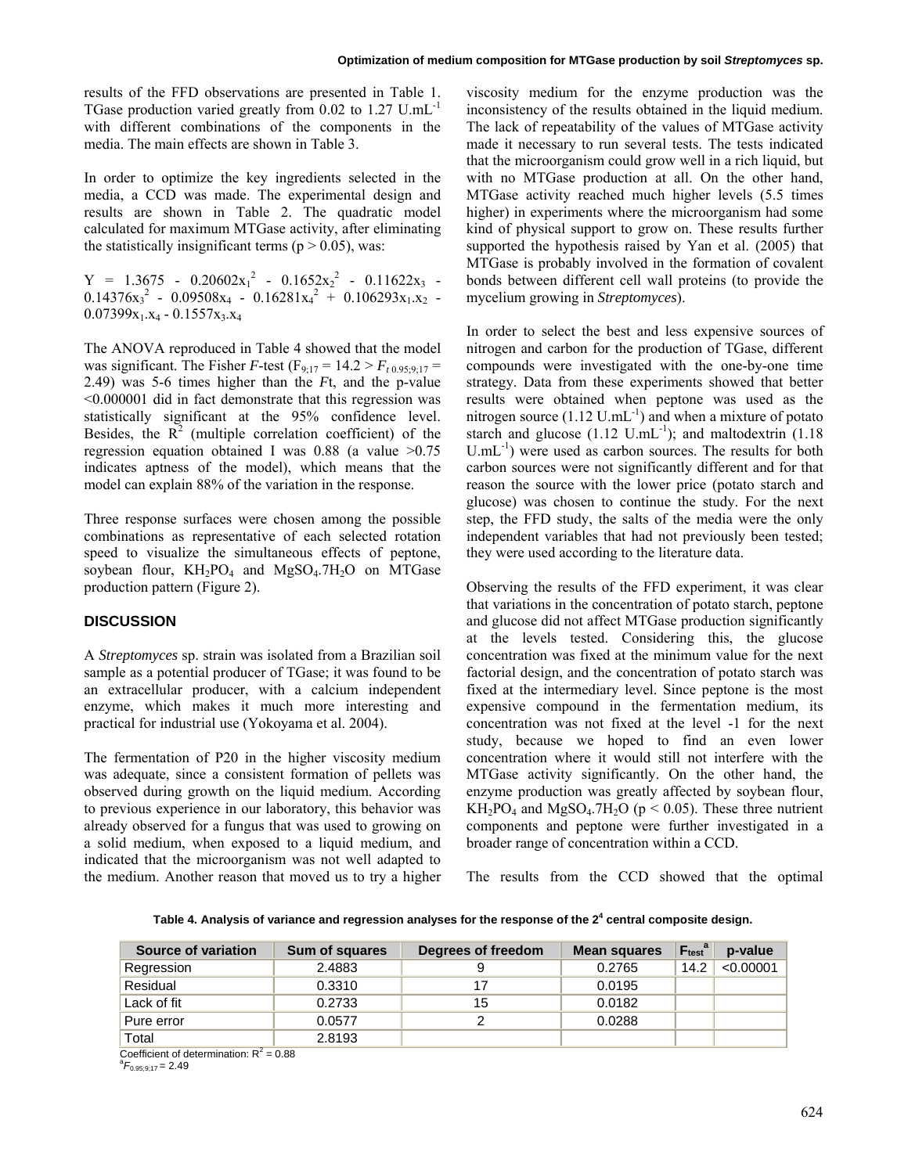results of the FFD observations are presented in Table 1. TGase production varied greatly from 0.02 to 1.27 U.mL-1 with different combinations of the components in the media. The main effects are shown in Table 3.

In order to optimize the key ingredients selected in the media, a CCD was made. The experimental design and results are shown in Table 2. The quadratic model calculated for maximum MTGase activity, after eliminating the statistically insignificant terms ( $p > 0.05$ ), was:

 $Y = 1.3675 - 0.20602x_1^2 - 0.1652x_2^2 - 0.11622x_3 0.14376x_3^2 - 0.09508x_4 - 0.16281x_4^2 + 0.106293x_1.x_2$  $0.07399x_1.x_4 - 0.1557x_3.x_4$ 

The ANOVA reproduced in Table 4 showed that the model was significant. The Fisher *F*-test (F<sub>9:17</sub> = 14.2 >  $F_{t\,0.95:9:17}$  = 2.49) was 5-6 times higher than the *F*t, and the p-value <0.000001 did in fact demonstrate that this regression was statistically significant at the 95% confidence level. Besides, the  $\mathbb{R}^2$  (multiple correlation coefficient) of the regression equation obtained I was  $0.88$  (a value  $>0.75$ ) indicates aptness of the model), which means that the model can explain 88% of the variation in the response.

Three response surfaces were chosen among the possible combinations as representative of each selected rotation speed to visualize the simultaneous effects of peptone, soybean flour,  $KH_2PO_4$  and  $MgSO_4.7H_2O$  on MTGase production pattern (Figure 2).

# **DISCUSSION**

A *Streptomyces* sp. strain was isolated from a Brazilian soil sample as a potential producer of TGase; it was found to be an extracellular producer, with a calcium independent enzyme, which makes it much more interesting and practical for industrial use (Yokoyama et al. 2004).

The fermentation of P20 in the higher viscosity medium was adequate, since a consistent formation of pellets was observed during growth on the liquid medium. According to previous experience in our laboratory, this behavior was already observed for a fungus that was used to growing on a solid medium, when exposed to a liquid medium, and indicated that the microorganism was not well adapted to the medium. Another reason that moved us to try a higher

viscosity medium for the enzyme production was the inconsistency of the results obtained in the liquid medium. The lack of repeatability of the values of MTGase activity made it necessary to run several tests. The tests indicated that the microorganism could grow well in a rich liquid, but with no MTGase production at all. On the other hand, MTGase activity reached much higher levels (5.5 times higher) in experiments where the microorganism had some kind of physical support to grow on. These results further supported the hypothesis raised by Yan et al. (2005) that MTGase is probably involved in the formation of covalent bonds between different cell wall proteins (to provide the mycelium growing in *Streptomyces*).

In order to select the best and less expensive sources of nitrogen and carbon for the production of TGase, different compounds were investigated with the one-by-one time strategy. Data from these experiments showed that better results were obtained when peptone was used as the nitrogen source  $(1.12 \text{ U.mL}^{-1})$  and when a mixture of potato starch and glucose  $(1.12 \text{ U.mL}^{-1})$ ; and maltodextrin  $(1.18$  $U.mL^{-1}$ ) were used as carbon sources. The results for both carbon sources were not significantly different and for that reason the source with the lower price (potato starch and glucose) was chosen to continue the study. For the next step, the FFD study, the salts of the media were the only independent variables that had not previously been tested; they were used according to the literature data.

Observing the results of the FFD experiment, it was clear that variations in the concentration of potato starch, peptone and glucose did not affect MTGase production significantly at the levels tested. Considering this, the glucose concentration was fixed at the minimum value for the next factorial design, and the concentration of potato starch was fixed at the intermediary level. Since peptone is the most expensive compound in the fermentation medium, its concentration was not fixed at the level -1 for the next study, because we hoped to find an even lower concentration where it would still not interfere with the MTGase activity significantly. On the other hand, the enzyme production was greatly affected by soybean flour,  $KH_2PO_4$  and  $MgSO_4.7H_2O$  (p < 0.05). These three nutrient components and peptone were further investigated in a broader range of concentration within a CCD.

The results from the CCD showed that the optimal

**Table 4. Analysis of variance and regression analyses for the response of the 2<sup>4</sup> central composite design.** 

| Source of variation | <b>Sum of squares</b> | Degrees of freedom | <b>Mean squares</b> | $F_{test}^a$ | p-value   |
|---------------------|-----------------------|--------------------|---------------------|--------------|-----------|
| Regression          | 2.4883                | 9                  | 0.2765              | 14.2         | < 0.00001 |
| Residual            | 0.3310                | 17                 | 0.0195              |              |           |
| Lack of fit         | 0.2733                | 15                 | 0.0182              |              |           |
| Pure error          | 0.0577                | ົ                  | 0.0288              |              |           |
| Total               | 2.8193                |                    |                     |              |           |

Coefficient of determination:  $R^2 = 0.88$ 

 $^{a}F_{0.95;9;17}$  = 2.49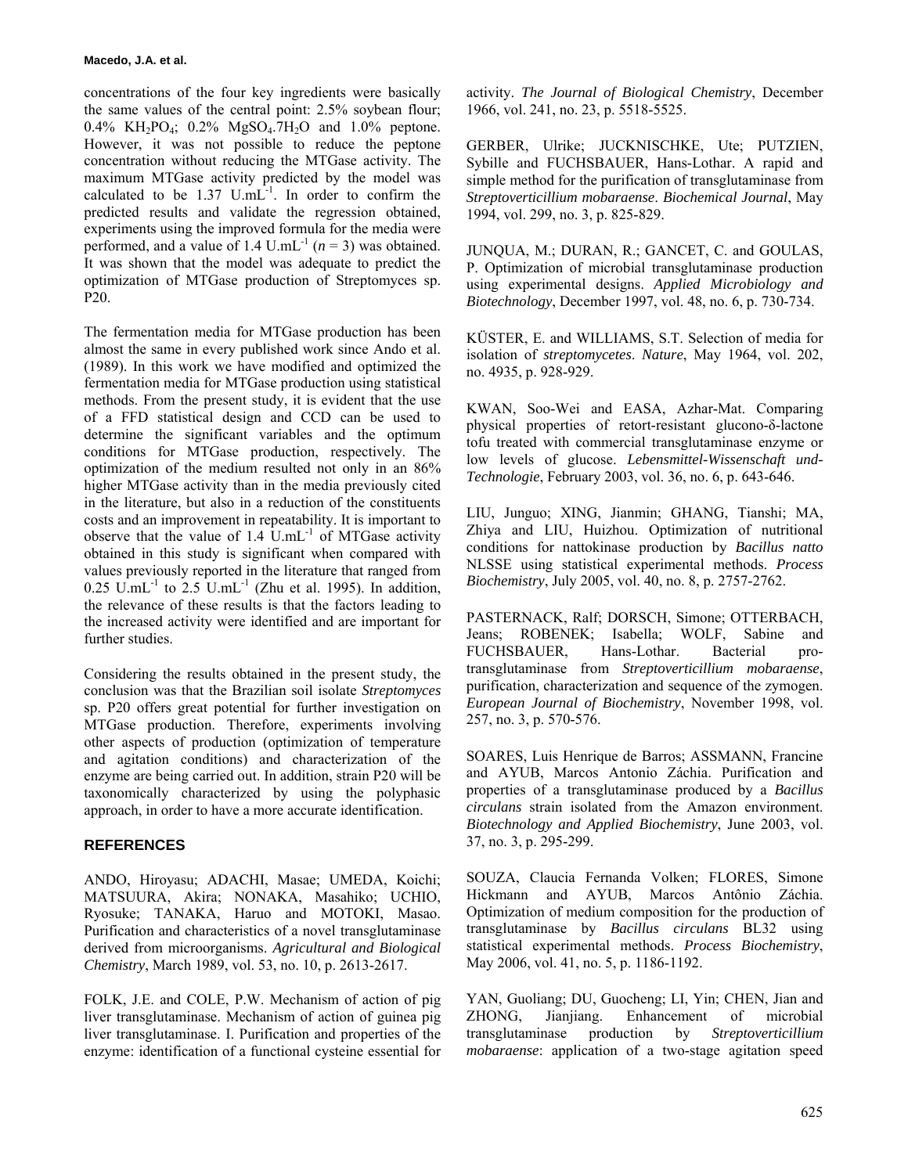concentrations of the four key ingredients were basically the same values of the central point: 2.5% soybean flour; 0.4% KH<sub>2</sub>PO<sub>4</sub>; 0.2% MgSO<sub>4</sub>.7H<sub>2</sub>O and 1.0% peptone. However, it was not possible to reduce the peptone concentration without reducing the MTGase activity. The maximum MTGase activity predicted by the model was calculated to be  $1.37$  U.mL $^{-1}$ . In order to confirm the predicted results and validate the regression obtained, experiments using the improved formula for the media were performed, and a value of 1.4 U.mL<sup>-1</sup>  $(n = 3)$  was obtained. It was shown that the model was adequate to predict the optimization of MTGase production of Streptomyces sp. P20.

The fermentation media for MTGase production has been almost the same in every published work since Ando et al. (1989). In this work we have modified and optimized the fermentation media for MTGase production using statistical methods. From the present study, it is evident that the use of a FFD statistical design and CCD can be used to determine the significant variables and the optimum conditions for MTGase production, respectively. The optimization of the medium resulted not only in an 86% higher MTGase activity than in the media previously cited in the literature, but also in a reduction of the constituents costs and an improvement in repeatability. It is important to observe that the value of  $1.4 \text{ U.mL}^{-1}$  of MTGase activity obtained in this study is significant when compared with values previously reported in the literature that ranged from  $0.25 \text{ U.mL}^{-1}$  to  $2.5 \text{ U.mL}^{-1}$  (Zhu et al. 1995). In addition, the relevance of these results is that the factors leading to the increased activity were identified and are important for further studies.

Considering the results obtained in the present study, the conclusion was that the Brazilian soil isolate *Streptomyces* sp. P20 offers great potential for further investigation on MTGase production. Therefore, experiments involving other aspects of production (optimization of temperature and agitation conditions) and characterization of the enzyme are being carried out. In addition, strain P20 will be taxonomically characterized by using the polyphasic approach, in order to have a more accurate identification.

# **REFERENCES**

ANDO, Hiroyasu; ADACHI, Masae; UMEDA, Koichi; MATSUURA, Akira; NONAKA, Masahiko; UCHIO, Ryosuke; TANAKA, Haruo and MOTOKI, Masao. Purification and characteristics of a novel transglutaminase derived from microorganisms. *Agricultural and Biological Chemistry*, March 1989, vol. 53, no. 10, p. 2613-2617.

FOLK, J.E. and COLE, P.W. Mechanism of action of pig liver transglutaminase. Mechanism of action of guinea pig liver transglutaminase. I. Purification and properties of the enzyme: identification of a functional cysteine essential for

activity. *The Journal of Biological Chemistry*, December 1966, vol. 241, no. 23, p. 5518-5525.

GERBER, Ulrike; JUCKNISCHKE, Ute; PUTZIEN, Sybille and FUCHSBAUER, Hans-Lothar. A rapid and simple method for the purification of transglutaminase from *Streptoverticillium mobaraense*. *Biochemical Journal*, May 1994, vol. 299, no. 3, p. 825-829.

JUNQUA, M.; DURAN, R.; GANCET, C. and GOULAS, P. Optimization of microbial transglutaminase production using experimental designs. *Applied Microbiology and Biotechnology*, December 1997, vol. 48, no. 6, p. 730-734.

KÜSTER, E. and WILLIAMS, S.T. Selection of media for isolation of *streptomycetes*. *Nature*, May 1964, vol. 202, no. 4935, p. 928-929.

KWAN, Soo-Wei and EASA, Azhar-Mat. Comparing physical properties of retort-resistant glucono-δ-lactone tofu treated with commercial transglutaminase enzyme or low levels of glucose. *Lebensmittel-Wissenschaft und-Technologie*, February 2003, vol. 36, no. 6, p. 643-646.

LIU, Junguo; XING, Jianmin; GHANG, Tianshi; MA, Zhiya and LIU, Huizhou. Optimization of nutritional conditions for nattokinase production by *Bacillus natto* NLSSE using statistical experimental methods. *Process Biochemistry*, July 2005, vol. 40, no. 8, p. 2757-2762.

PASTERNACK, Ralf; DORSCH, Simone; OTTERBACH, Jeans; ROBENEK; Isabella; WOLF, Sabine and FUCHSBAUER, Hans-Lothar. Bacterial protransglutaminase from *Streptoverticillium mobaraense*, purification, characterization and sequence of the zymogen. *European Journal of Biochemistry*, November 1998, vol. 257, no. 3, p. 570-576.

SOARES, Luis Henrique de Barros; ASSMANN, Francine and AYUB, Marcos Antonio Záchia. Purification and properties of a transglutaminase produced by a *Bacillus circulans* strain isolated from the Amazon environment. *Biotechnology and Applied Biochemistry*, June 2003, vol. 37, no. 3, p. 295-299.

SOUZA, Claucia Fernanda Volken; FLORES, Simone Hickmann and AYUB, Marcos Antônio Záchia. Optimization of medium composition for the production of transglutaminase by *Bacillus circulans* BL32 using statistical experimental methods. *Process Biochemistry*, May 2006, vol. 41, no. 5, p. 1186-1192.

YAN, Guoliang; DU, Guocheng; LI, Yin; CHEN, Jian and ZHONG, Jianjiang. Enhancement of microbial transglutaminase production by *Streptoverticillium mobaraense*: application of a two-stage agitation speed